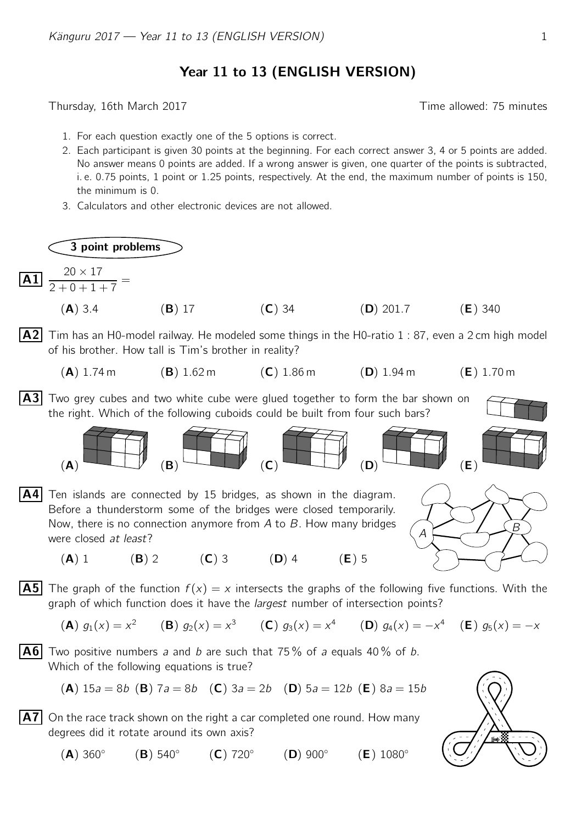## Year 11 to 13 (ENGLISH VERSION)

Thursday, 16th March 2017 Time allowed: 75 minutes

- 1. For each question exactly one of the 5 options is correct.
- 2. Each participant is given 30 points at the beginning. For each correct answer 3, 4 or 5 points are added. No answer means 0 points are added. If a wrong answer is given, one quarter of the points is subtracted, i. e. 0.75 points, 1 point or 1.25 points, respectively. At the end, the maximum number of points is 150, the minimum is 0.
- 3. Calculators and other electronic devices are not allowed.

3 point problems

were closed at least?

 $\overline{A1}$   $\frac{20 \times 17}{20 \times 17}$  $\frac{28 \times 11}{2 + 0 + 1 + 7} =$ 

- (A) 3.4 (B) 17 (C) 34 (D) 201.7 (E) 340
- **A2** Tim has an H0-model railway. He modeled some things in the H0-ratio 1 : 87, even a 2 cm high model of his brother. How tall is Tim's brother in reality?
	- (A) 1.74 m (B) 1.62 m (C) 1.86 m (D) 1.94 m (E) 1.70 m
- A3 Two grey cubes and two white cube were glued together to form the bar shown on the right. Which of the following cuboids could be built from four such bars?





- (A) 1 (B) 2 (C) 3 (D) 4 (E) 5
- **A5** The graph of the function  $f(x) = x$  intersects the graphs of the following five functions. With the graph of which function does it have the *largest* number of intersection points?

(**A**) 
$$
g_1(x) = x^2
$$
 (**B**)  $g_2(x) = x^3$  (**C**)  $g_3(x) = x^4$  (**D**)  $g_4(x) = -x^4$  (**E**)  $g_5(x) = -x$ 

**A6** Two positive numbers a and b are such that 75% of a equals 40% of b. Which of the following equations is true?

(A) 
$$
15a = 8b
$$
 (B)  $7a = 8b$  (C)  $3a = 2b$  (D)  $5a = 12b$  (E)  $8a = 15b$ 

 $|\overline{A7}|$  On the race track shown on the right a car completed one round. How many degrees did it rotate around its own axis?

 $(A)$  360 $^{\circ}$  $(B)$  540 $^{\circ}$  $(C)$  720 $^{\circ}$  $(D)$  900 $^{\circ}$  $(E)$  1080 $^{\circ}$ 

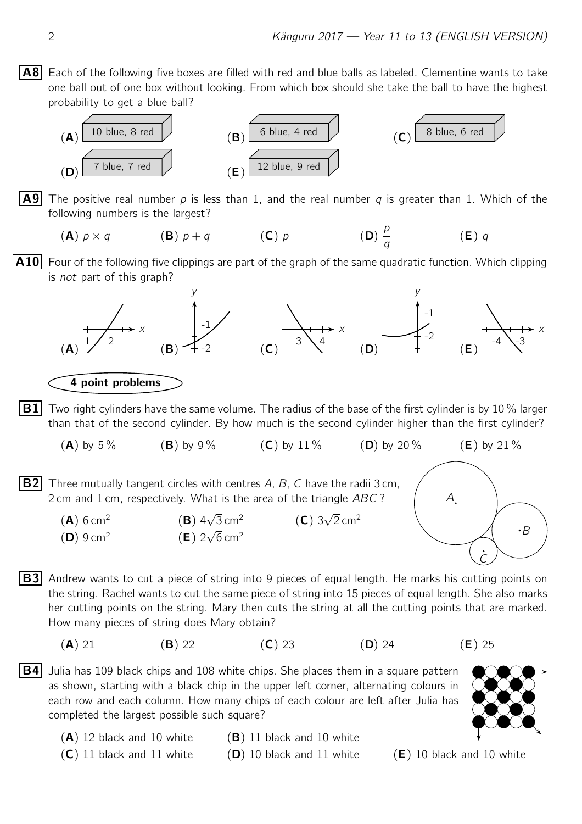$|AB|$  Each of the following five boxes are filled with red and blue balls as labeled. Clementine wants to take one ball out of one box without looking. From which box should she take the ball to have the highest probability to get a blue ball?



**A9** The positive real number p is less than 1, and the real number q is greater than 1. Which of the following numbers is the largest?

$$
\textbf{(A)} \ p \times q \qquad \qquad \textbf{(B)} \ p + q \qquad \qquad \textbf{(C)} \ p \qquad \qquad \textbf{(D)} \ \frac{p}{q} \qquad \qquad \textbf{(E)} \ q
$$

**A10** Four of the following five clippings are part of the graph of the same quadratic function. Which clipping is not part of this graph?



How many pieces of string does Mary obtain?

- (A) 21 (B) 22 (C) 23 (D) 24 (E) 25
- $|B4|$  Julia has 109 black chips and 108 white chips. She places them in a square pattern as shown, starting with a black chip in the upper left corner, alternating colours in each row and each column. How many chips of each colour are left after Julia has completed the largest possible such square?



- $(A)$  12 black and 10 white  $(B)$  11 black and 10 white
- $(C)$  11 black and 11 white (D) 10 black and 11 white (E) 10 black and 10 white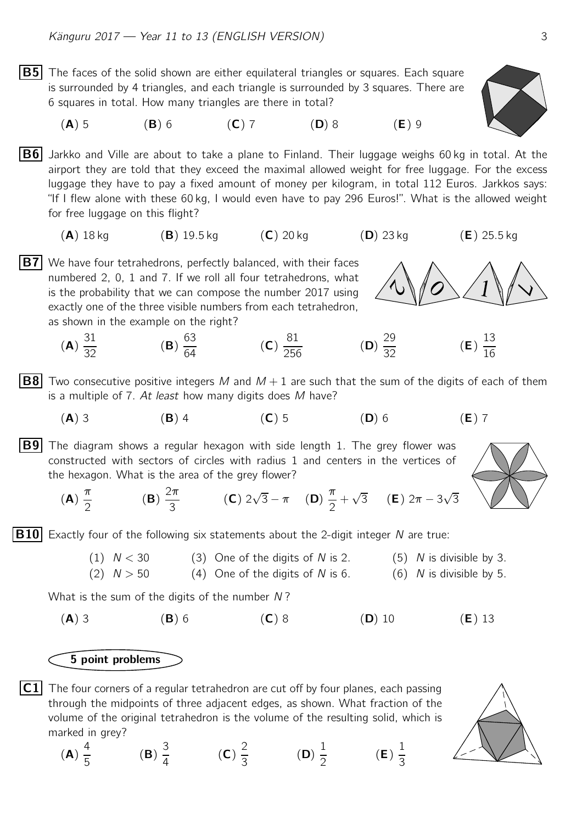- $|B5|$  The faces of the solid shown are either equilateral triangles or squares. Each square is surrounded by 4 triangles, and each triangle is surrounded by 3 squares. There are 6 squares in total. How many triangles are there in total?
	- (A) 5 (B) 6 (C) 7 (D) 8 (E) 9

 $|B6|$  Jarkko and Ville are about to take a plane to Finland. Their luggage weighs 60 kg in total. At the airport they are told that they exceed the maximal allowed weight for free luggage. For the excess luggage they have to pay a fixed amount of money per kilogram, in total 112 Euros. Jarkkos says: "If I flew alone with these 60 kg, I would even have to pay 296 Euros!". What is the allowed weight for free luggage on this flight?

- $(A)$  18 kg  $(B)$  19.5 kg  $(C)$  20 kg  $(D)$  23 kg  $(E)$  25.5 kg
- $|B7|$  We have four tetrahedrons, perfectly balanced, with their faces numbered 2, 0, 1 and 7. If we roll all four tetrahedrons, what is the probability that we can compose the number 2017 using exactly one of the three visible numbers from each tetrahedron, as shown in the example on the right?
	- (A) 31  $\frac{32}{32}$  (B) 63  $\frac{64}{64}$  (C) 81  $\frac{32}{256}$  (D) (D)  $\frac{29}{32}$  $\frac{25}{32}$  (**E**) 13 16
- **B8** Two consecutive positive integers M and  $M + 1$  are such that the sum of the digits of each of them is a multiple of  $7.$  At least how many digits does M have?
	- (A) 3 (B) 4 (C) 5 (D) 6 (E) 7

**B9** The diagram shows a regular hexagon with side length 1. The grey flower was constructed with sectors of circles with radius 1 and centers in the vertices of the hexagon. What is the area of the grey flower?

(**A**) 
$$
\frac{\pi}{2}
$$
 \t(**B**)  $\frac{2\pi}{3}$  \t(**C**)  $2\sqrt{3} - \pi$  \t(**D**)  $\frac{\pi}{2} + \sqrt{3}$  \t(**E**)  $2\pi - 3\sqrt{3}$ 

**B10** Exactly four of the following six statements about the 2-digit integer N are true:

- (1)  $N < 30$  (3) One of the digits of N is 2. (5) N is divisible
	- (2)  $N > 50$  (4) One of the digits of N is 6. (6) N is divisible

What is the sum of the digits of the number  $N$ ?

(A) 3 (B) 6 (C) 8 (D) 10 (E) 13

5 point problems

 $|C1|$  The four corners of a regular tetrahedron are cut off by four planes, each passing through the midpoints of three adjacent edges, as shown. What fraction of the volume of the original tetrahedron is the volume of the resulting solid, which is marked in grey?

(A) 4 5 (B) 3 4 (C) 2 3 (D) 1 2 (E) 1 3





by 3.

\nby 5.

\n
$$
13
$$